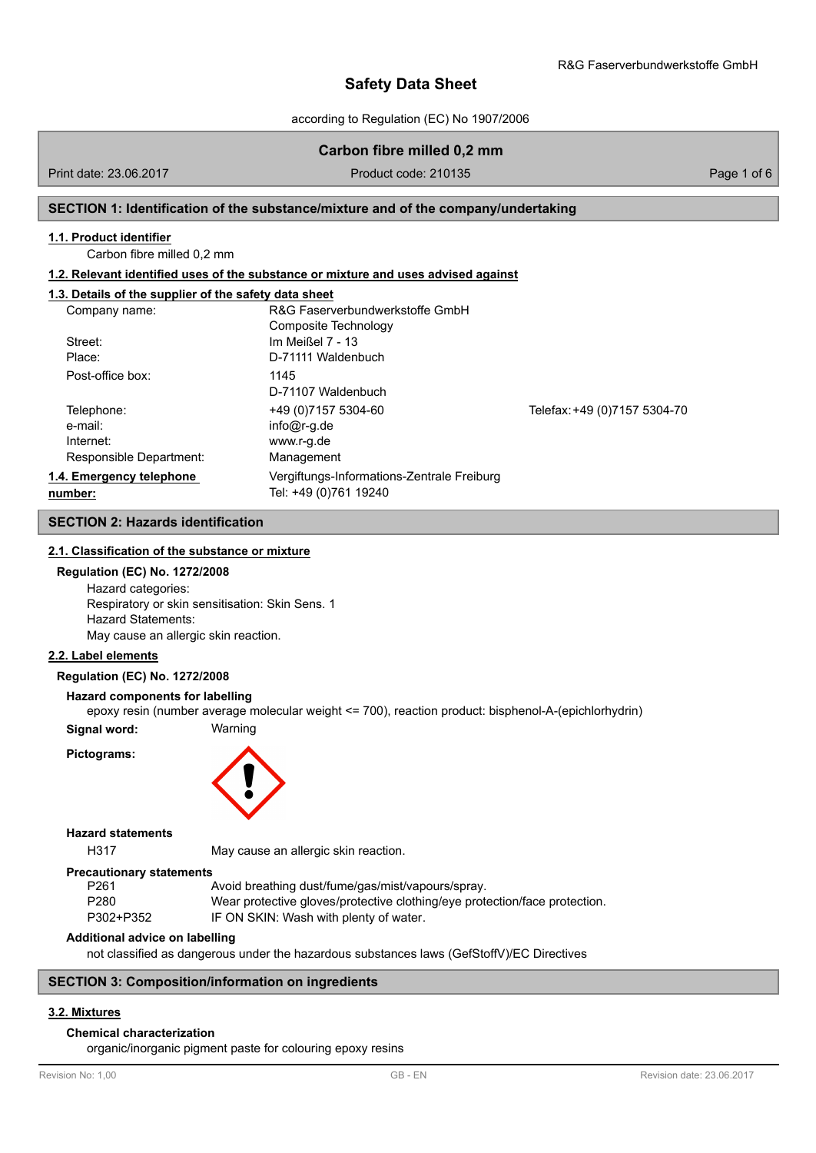according to Regulation (EC) No 1907/2006

## **Carbon fibre milled 0,2 mm**

Print date: 23.06.2017 **Product code: 210135** Product code: 210135

### **SECTION 1: Identification of the substance/mixture and of the company/undertaking**

### **1.1. Product identifier**

Carbon fibre milled 0,2 mm

#### **1.2. Relevant identified uses of the substance or mixture and uses advised against**

## **1.3. Details of the supplier of the safety data sheet**

| Company name:            | R&G Faserverbundwerkstoffe GmbH            |                              |
|--------------------------|--------------------------------------------|------------------------------|
|                          | Composite Technology                       |                              |
| Street:                  | Im Meißel 7 - 13                           |                              |
| Place:                   | D-71111 Waldenbuch                         |                              |
| Post-office box:         | 1145                                       |                              |
|                          | D-71107 Waldenbuch                         |                              |
| Telephone:               | +49 (0) 7157 5304-60                       | Telefax: +49 (0)7157 5304-70 |
| e-mail:                  | $info@r-q.de$                              |                              |
| Internet:                | www.r-g.de                                 |                              |
| Responsible Department:  | Management                                 |                              |
| 1.4. Emergency telephone | Vergiftungs-Informations-Zentrale Freiburg |                              |
| number:                  | Tel: +49 (0)761 19240                      |                              |

## **SECTION 2: Hazards identification**

### **2.1. Classification of the substance or mixture**

## **Regulation (EC) No. 1272/2008**

Hazard categories: Respiratory or skin sensitisation: Skin Sens. 1 Hazard Statements: May cause an allergic skin reaction.

## **2.2. Label elements**

## **Regulation (EC) No. 1272/2008**

#### **Hazard components for labelling**

epoxy resin (number average molecular weight <= 700), reaction product: bisphenol-A-(epichlorhydrin)

**Signal word:** Warning

**Pictograms:**



#### **Hazard statements**

H317 May cause an allergic skin reaction.

#### **Precautionary statements**

| P261      | Avoid breathing dust/fume/gas/mist/vapours/spray.                          |
|-----------|----------------------------------------------------------------------------|
| P280      | Wear protective gloves/protective clothing/eye protection/face protection. |
| P302+P352 | IF ON SKIN: Wash with plenty of water.                                     |

#### **Additional advice on labelling**

not classified as dangerous under the hazardous substances laws (GefStoffV)/EC Directives

### **SECTION 3: Composition/information on ingredients**

## **3.2. Mixtures**

## **Chemical characterization**

organic/inorganic pigment paste for colouring epoxy resins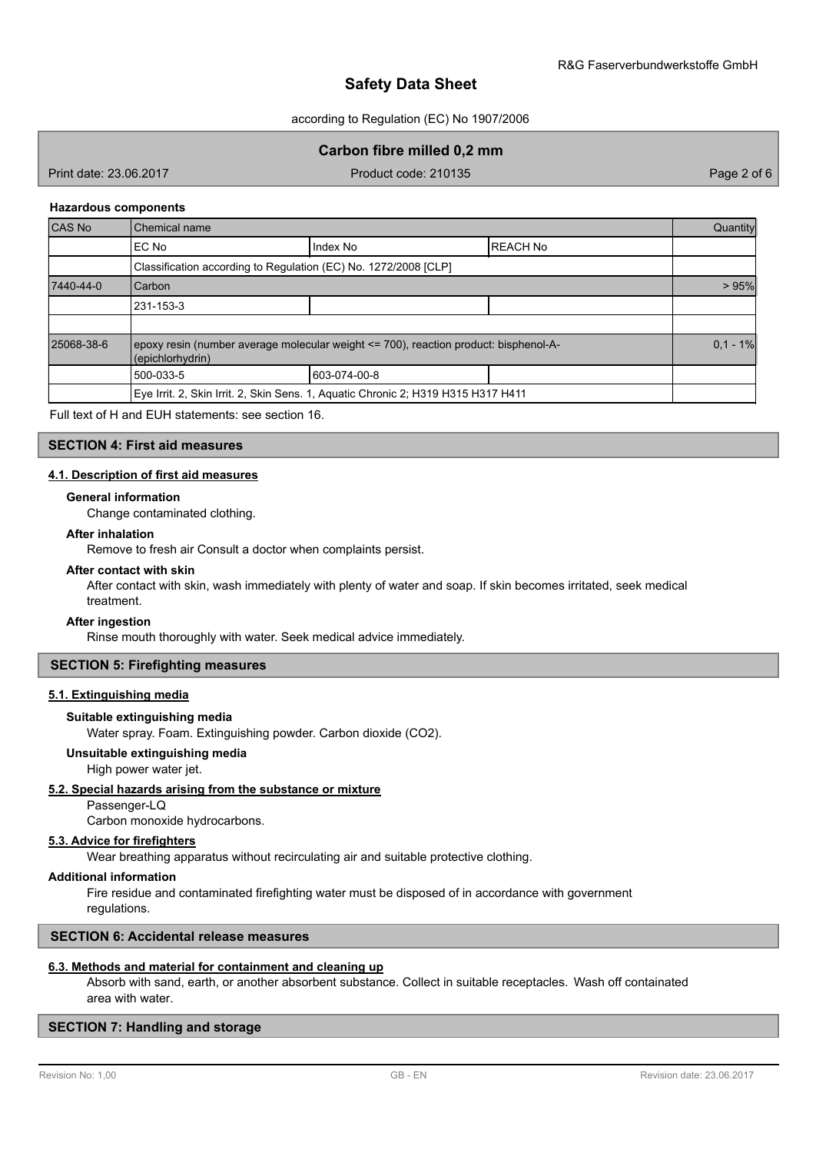according to Regulation (EC) No 1907/2006

## **Carbon fibre milled 0,2 mm**

Print date: 23.06.2017 Product code: 210135 Page 2 of 6

#### **Hazardous components**

| <b>CAS No</b> | Chemical name                                                                                            |              |                 |  |  |  |
|---------------|----------------------------------------------------------------------------------------------------------|--------------|-----------------|--|--|--|
|               | EC No                                                                                                    | Index No     | <b>REACH No</b> |  |  |  |
|               | Classification according to Regulation (EC) No. 1272/2008 [CLP]                                          |              |                 |  |  |  |
| 7440-44-0     | <b>Carbon</b>                                                                                            |              |                 |  |  |  |
|               | 231-153-3                                                                                                |              |                 |  |  |  |
|               |                                                                                                          |              |                 |  |  |  |
| 25068-38-6    | epoxy resin (number average molecular weight <= 700), reaction product: bisphenol-A-<br>(epichlorhydrin) |              |                 |  |  |  |
|               | 500-033-5                                                                                                | 603-074-00-8 |                 |  |  |  |
|               | Eye Irrit. 2, Skin Irrit. 2, Skin Sens. 1, Aquatic Chronic 2; H319 H315 H317 H411                        |              |                 |  |  |  |

Full text of H and EUH statements: see section 16.

## **SECTION 4: First aid measures**

## **4.1. Description of first aid measures**

#### **General information**

Change contaminated clothing.

#### **After inhalation**

Remove to fresh air Consult a doctor when complaints persist.

## **After contact with skin**

After contact with skin, wash immediately with plenty of water and soap. If skin becomes irritated, seek medical treatment.

### **After ingestion**

Rinse mouth thoroughly with water. Seek medical advice immediately.

## **SECTION 5: Firefighting measures**

## **5.1. Extinguishing media**

**Suitable extinguishing media**

Water spray. Foam. Extinguishing powder. Carbon dioxide (CO2).

#### **Unsuitable extinguishing media**

High power water jet.

### **5.2. Special hazards arising from the substance or mixture**

Passenger-LQ

Carbon monoxide hydrocarbons.

### **5.3. Advice for firefighters**

Wear breathing apparatus without recirculating air and suitable protective clothing.

## **Additional information**

Fire residue and contaminated firefighting water must be disposed of in accordance with government regulations.

### **SECTION 6: Accidental release measures**

## **6.3. Methods and material for containment and cleaning up**

Absorb with sand, earth, or another absorbent substance. Collect in suitable receptacles. Wash off containated area with water.

## **SECTION 7: Handling and storage**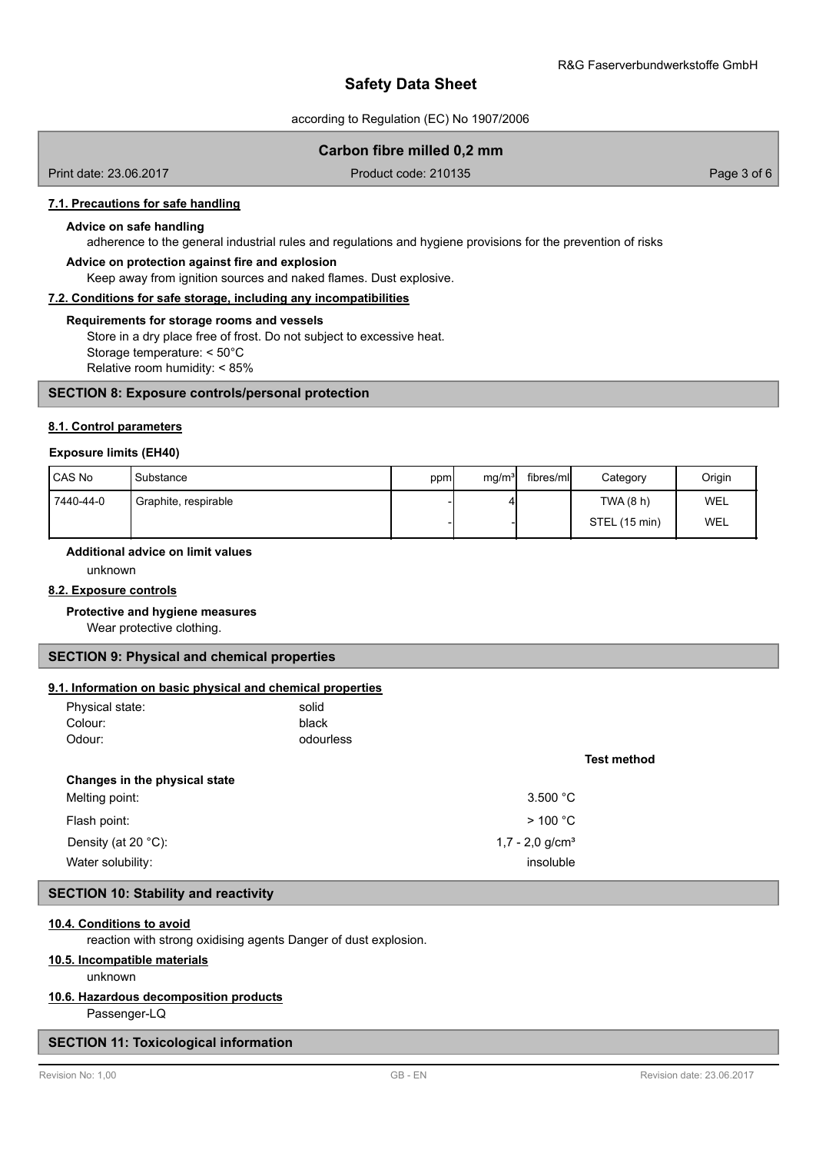according to Regulation (EC) No 1907/2006

## **Carbon fibre milled 0,2 mm**

Print date: 23.06.2017 Product code: 210135 Page 3 of 6

#### **7.1. Precautions for safe handling**

#### **Advice on safe handling**

adherence to the general industrial rules and regulations and hygiene provisions for the prevention of risks

### **Advice on protection against fire and explosion**

Keep away from ignition sources and naked flames. Dust explosive.

#### **7.2. Conditions for safe storage, including any incompatibilities**

#### **Requirements for storage rooms and vessels**

Store in a dry place free of frost. Do not subject to excessive heat. Storage temperature: < 50°C Relative room humidity: < 85%

### **SECTION 8: Exposure controls/personal protection**

#### **8.1. Control parameters**

#### **Exposure limits (EH40)**

| CAS No    | Substance            | ppm | mg/m <sup>3</sup> | fibres/mll | Category      | Origin     |
|-----------|----------------------|-----|-------------------|------------|---------------|------------|
| 7440-44-0 | Graphite, respirable |     |                   |            | TWA (8 h)     | <b>WEL</b> |
|           |                      |     |                   |            | STEL (15 min) | WEL        |

## **Additional advice on limit values**

unknown

## **8.2. Exposure controls**

### **Protective and hygiene measures**

Wear protective clothing.

#### **SECTION 9: Physical and chemical properties**

## **9.1. Information on basic physical and chemical properties**

| <b>1. milomiation on pasic privered and chemical properties</b> |           |                               |
|-----------------------------------------------------------------|-----------|-------------------------------|
| Physical state:                                                 | solid     |                               |
| Colour:                                                         | black     |                               |
| Odour:                                                          | odourless |                               |
|                                                                 |           | <b>Test method</b>            |
| Changes in the physical state                                   |           |                               |
| Melting point:                                                  |           | 3.500 °C                      |
| Flash point:                                                    |           | $>$ 100 °C                    |
| Density (at 20 $^{\circ}$ C):                                   |           | $1,7 - 2,0$ g/cm <sup>3</sup> |
| Water solubility:                                               |           | insoluble                     |

## **SECTION 10: Stability and reactivity**

#### **10.4. Conditions to avoid**

reaction with strong oxidising agents Danger of dust explosion.

## **10.5. Incompatible materials**

unknown

## **10.6. Hazardous decomposition products**

Passenger-LQ

## **SECTION 11: Toxicological information**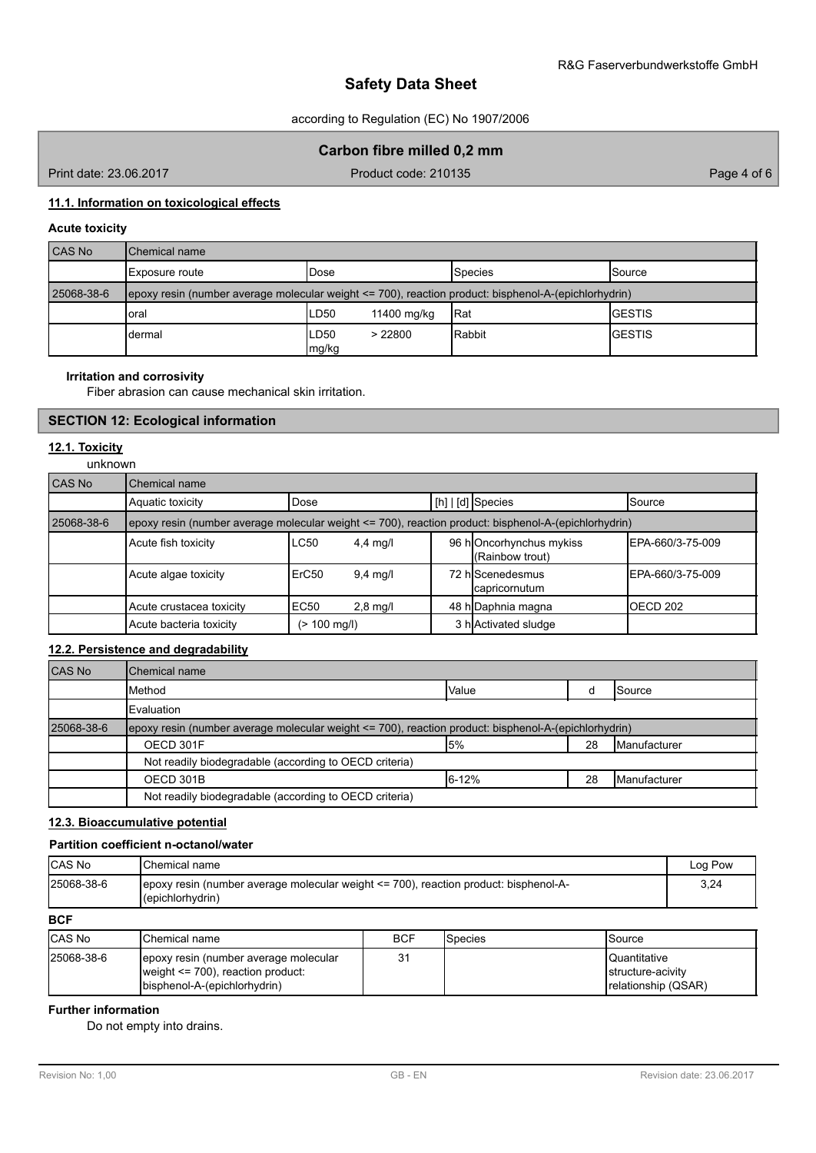according to Regulation (EC) No 1907/2006

## **Carbon fibre milled 0,2 mm**

Print date: 23.06.2017 Product code: 210135 Page 4 of 6

## **11.1. Information on toxicological effects**

## **Acute toxicity**

| CAS No     | Chemical name                                                                                        |               |             |                |                 |  |
|------------|------------------------------------------------------------------------------------------------------|---------------|-------------|----------------|-----------------|--|
|            | I Exposure route                                                                                     | Dose          |             | <b>Species</b> | <b>I</b> Source |  |
| 25068-38-6 | epoxy resin (number average molecular weight <= 700), reaction product: bisphenol-A-(epichlorhydrin) |               |             |                |                 |  |
|            | oral                                                                                                 | LD50          | 11400 mg/kg | <b>IRat</b>    | <b>IGESTIS</b>  |  |
|            | dermal                                                                                               | LD50<br>mg/kg | > 22800     | Rabbit         | <b>IGESTIS</b>  |  |

### **Irritation and corrosivity**

Fiber abrasion can cause mechanical skin irritation.

## **SECTION 12: Ecological information**

## **12.1. Toxicity**

unknown

| CAS No     | Chemical name                                                                                        |                        |            |                                               |                   |
|------------|------------------------------------------------------------------------------------------------------|------------------------|------------|-----------------------------------------------|-------------------|
|            | Aquatic toxicity                                                                                     | Dose                   |            | $\lfloor$ [h] $\lfloor$ [d] $\rfloor$ Species | <b>Source</b>     |
| 25068-38-6 | epoxy resin (number average molecular weight <= 700), reaction product: bisphenol-A-(epichlorhydrin) |                        |            |                                               |                   |
|            | Acute fish toxicity                                                                                  | LC50                   | $4,4$ mg/l | 96 hOncorhynchus mykiss<br>(Rainbow trout)    | IEPA-660/3-75-009 |
|            | Acute algae toxicity                                                                                 | ErC50                  | $9,4$ mg/l | 72 hIScenedesmus<br>capricornutum             | IEPA-660/3-75-009 |
|            | Acute crustacea toxicity                                                                             | EC <sub>50</sub>       | $2,8$ mg/l | 48 h Daphnia magna                            | IOECD 202         |
|            | Acute bacteria toxicity                                                                              | $(> 100 \text{ mg/l})$ |            | 3 h Activated sludge                          |                   |

## **12.2. Persistence and degradability**

| <b>CAS No</b> | Chemical name                                                                                               |       |    |                       |
|---------------|-------------------------------------------------------------------------------------------------------------|-------|----|-----------------------|
|               | <b>Method</b>                                                                                               | Value |    | ISource               |
|               | <b>IEvaluation</b>                                                                                          |       |    |                       |
| 25068-38-6    | $ epoxy$ resin (number average molecular weight $\leq$ 700), reaction product: bisphenol-A-(epichlorhydrin) |       |    |                       |
|               | OECD 301F                                                                                                   | l5%   | 28 | <b>I</b> Manufacturer |
|               | Not readily biodegradable (according to OECD criteria)                                                      |       |    |                       |
|               | OECD 301B                                                                                                   | 6-12% | 28 | <b>I</b> Manufacturer |
|               | Not readily biodegradable (according to OECD criteria)                                                      |       |    |                       |

## **12.3. Bioaccumulative potential**

## **Partition coefficient n-octanol/water**

| CAS No     | <b>I</b> Chemical name                                                                                                        | Log Pow |
|------------|-------------------------------------------------------------------------------------------------------------------------------|---------|
| 25068-38-6 | $\epsilon$ epoxy resin (number average molecular weight $\epsilon$ = 700), reaction product: bisphenol-A-<br>(epichlorhydrin) | 3,24    |
| <b>BCF</b> |                                                                                                                               |         |

| <b>CAS No</b> | <b>I</b> Chemical name                                                                                           | <b>BCF</b> | <b>S</b> pecies | <b>Source</b>                                                    |
|---------------|------------------------------------------------------------------------------------------------------------------|------------|-----------------|------------------------------------------------------------------|
| 25068-38-6    | Jepoxy resin (number average molecular<br>weight $\leq$ 700), reaction product:<br>(bisphenol-A-(epichlorhydrin) | ۹1<br>ັ    |                 | <b>Quantitative</b><br>Istructure-acivity<br>relationship (QSAR) |

## **Further information**

Do not empty into drains.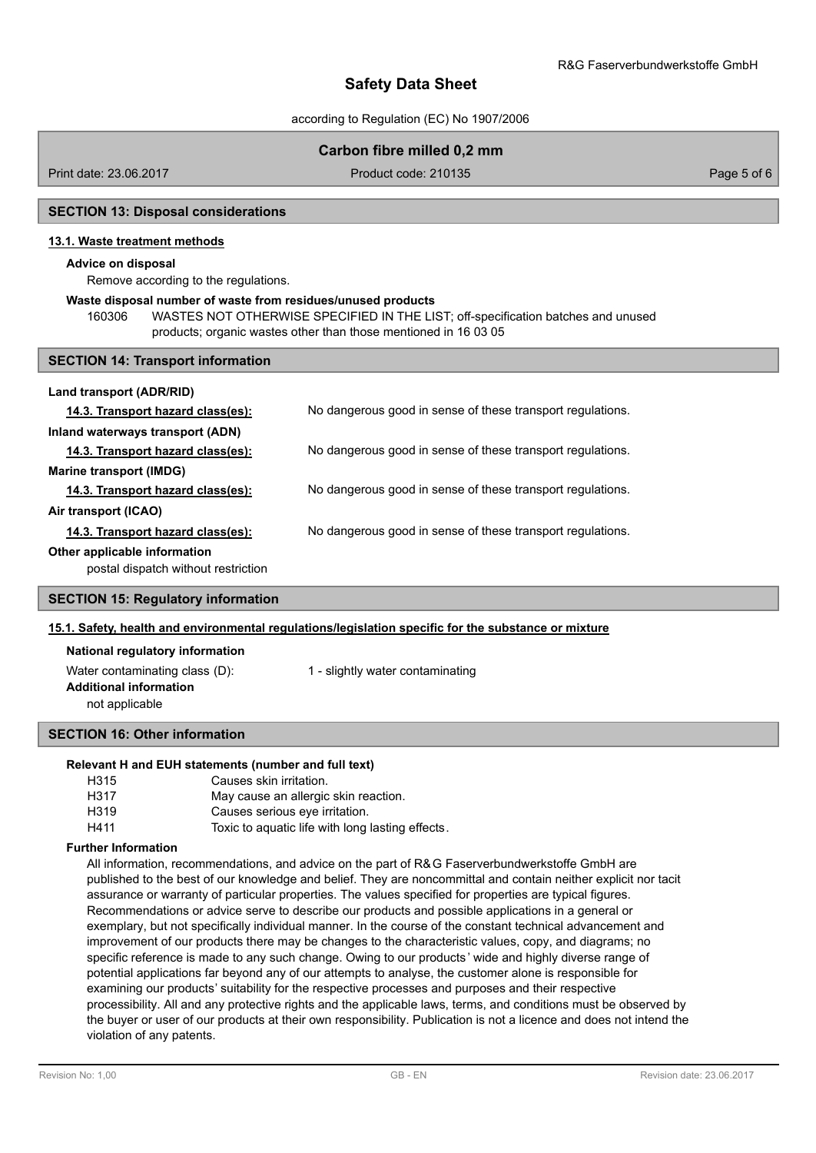according to Regulation (EC) No 1907/2006

## **Carbon fibre milled 0,2 mm**

Print date: 23.06.2017 Product code: 210135 Page 5 of 6

## **SECTION 13: Disposal considerations**

### **13.1. Waste treatment methods**

## **Advice on disposal**

Remove according to the regulations.

#### **Waste disposal number of waste from residues/unused products**

160306 WASTES NOT OTHERWISE SPECIFIED IN THE LIST; off-specification batches and unused products; organic wastes other than those mentioned in 16 03 05

#### **SECTION 14: Transport information**

| Land transport (ADR/RID)                                            |                                                            |
|---------------------------------------------------------------------|------------------------------------------------------------|
| 14.3. Transport hazard class(es):                                   | No dangerous good in sense of these transport regulations. |
| Inland waterways transport (ADN)                                    |                                                            |
| 14.3. Transport hazard class(es):                                   | No dangerous good in sense of these transport regulations. |
| <b>Marine transport (IMDG)</b>                                      |                                                            |
| 14.3. Transport hazard class(es):                                   | No dangerous good in sense of these transport regulations. |
| Air transport (ICAO)                                                |                                                            |
| 14.3. Transport hazard class(es):                                   | No dangerous good in sense of these transport regulations. |
| Other applicable information<br>postal dispatch without restriction |                                                            |

## **SECTION 15: Regulatory information**

## **15.1. Safety, health and environmental regulations/legislation specific for the substance or mixture**

## **National regulatory information**

| Water contaminating class (D): | 1 - slightly water contaminating |
|--------------------------------|----------------------------------|
| <b>Additional information</b>  |                                  |
| not applicable                 |                                  |
|                                |                                  |

### **SECTION 16: Other information**

### **Relevant H and EUH statements (number and full text)**

| H315 | Causes skin irritation.                          |  |
|------|--------------------------------------------------|--|
| H317 | May cause an allergic skin reaction.             |  |
| H319 | Causes serious eye irritation.                   |  |
| H411 | Toxic to aquatic life with long lasting effects. |  |

#### **Further Information**

All information, recommendations, and advice on the part of R&G Faserverbundwerkstoffe GmbH are published to the best of our knowledge and belief. They are noncommittal and contain neither explicit nor tacit assurance or warranty of particular properties. The values specified for properties are typical figures. Recommendations or advice serve to describe our products and possible applications in a general or exemplary, but not specifically individual manner. In the course of the constant technical advancement and improvement of our products there may be changes to the characteristic values, copy, and diagrams; no specific reference is made to any such change. Owing to our products ' wide and highly diverse range of potential applications far beyond any of our attempts to analyse, the customer alone is responsible for examining our products' suitability for the respective processes and purposes and their respective processibility. All and any protective rights and the applicable laws, terms, and conditions must be observed by the buyer or user of our products at their own responsibility. Publication is not a licence and does not intend the violation of any patents.